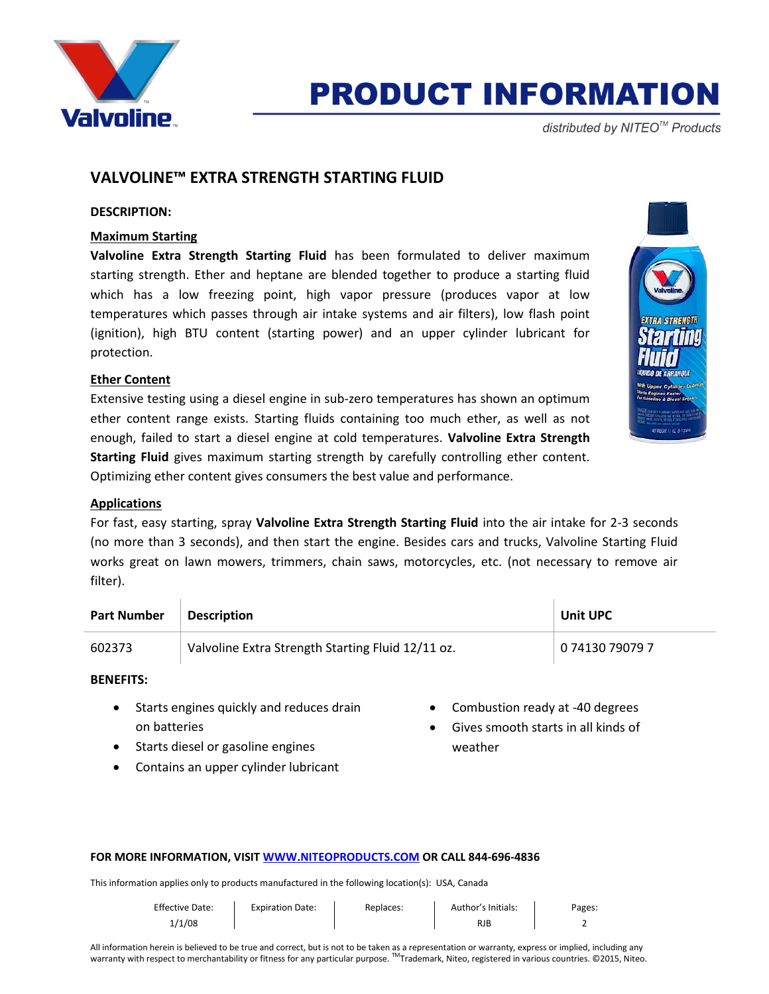

## **PRODUCT INFORMATION**

distributed by NITEO<sup>™</sup> Products

### **VALVOLINE™ EXTRA STRENGTH STARTING FLUID**

#### **DESCRIPTION:**

### **Maximum Starting**

**Valvoline Extra Strength Starting Fluid** has been formulated to deliver maximum starting strength. Ether and heptane are blended together to produce a starting fluid which has a low freezing point, high vapor pressure (produces vapor at low temperatures which passes through air intake systems and air filters), low flash point (ignition), high BTU content (starting power) and an upper cylinder lubricant for protection.

### **Ether Content**

Extensive testing using a diesel engine in sub-zero temperatures has shown an optimum ether content range exists. Starting fluids containing too much ether, as well as not enough, failed to start a diesel engine at cold temperatures. **Valvoline Extra Strength Starting Fluid** gives maximum starting strength by carefully controlling ether content. Optimizing ether content gives consumers the best value and performance.



### **Applications**

For fast, easy starting, spray **Valvoline Extra Strength Starting Fluid** into the air intake for 2-3 seconds (no more than 3 seconds), and then start the engine. Besides cars and trucks, Valvoline Starting Fluid works great on lawn mowers, trimmers, chain saws, motorcycles, etc. (not necessary to remove air filter).

| <b>Part Number</b> | <b>Description</b>                                | <b>Unit UPC</b> |
|--------------------|---------------------------------------------------|-----------------|
| 602373             | Valvoline Extra Strength Starting Fluid 12/11 oz. | 0 74130 79079 7 |

**BENEFITS:**

- Starts engines quickly and reduces drain on batteries
- Starts diesel or gasoline engines
- Contains an upper cylinder lubricant
- Combustion ready at -40 degrees
- Gives smooth starts in all kinds of weather

#### **FOR MORE INFORMATION, VISI[T WWW.NITEOPRODUCTS.COM](http://www.niteoproducts.com/) OR CALL 844-696-4836**

This information applies only to products manufactured in the following location(s): USA, Canada

| <b>Effective Date:</b> | <b>Expiration Date:</b> | Replaces: | Author's Initials: | Pages: |
|------------------------|-------------------------|-----------|--------------------|--------|
| 1/1/08                 |                         |           | <b>RJB</b>         |        |

All information herein is believed to be true and correct, but is not to be taken as a representation or warranty, express or implied, including any warranty with respect to merchantability or fitness for any particular purpose. ™Trademark, Niteo, registered in various countries. ©2015, Niteo.